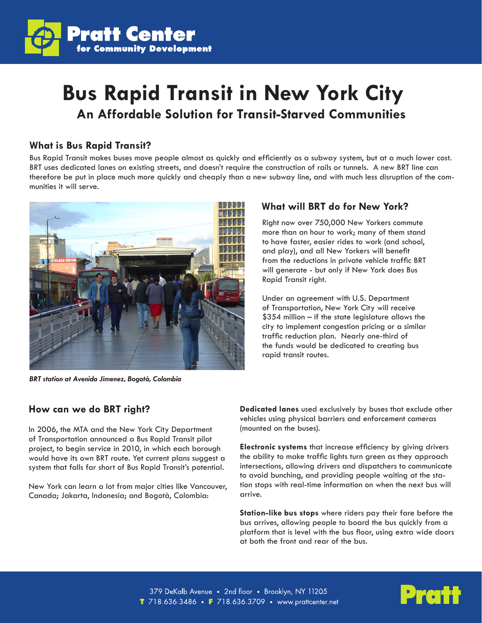

# **Bus Rapid Transit in New York City An Affordable Solution for Transit-Starved Communities**

#### **What is Bus Rapid Transit?**

Bus Rapid Transit makes buses move people almost as quickly and efficiently as a subway system, but at a much lower cost. BRT uses dedicated lanes on existing streets, and doesn't require the construction of rails or tunnels. A new BRT line can therefore be put in place much more quickly and cheaply than a new subway line, and with much less disruption of the communities it will serve.



*BRT station at Avenida Jimenez, Bogotà, Colombia*

### **What will BRT do for New York?**

Right now over 750,000 New Yorkers commute more than an hour to work; many of them stand to have faster, easier rides to work (and school, and play), and all New Yorkers will benefit from the reductions in private vehicle traffic BRT will generate - but only if New York does Bus Rapid Transit right.

Under an agreement with U.S. Department of Transportation, New York City will receive  $$354$  million – if the state legislature allows the city to implement congestion pricing or a similar traffic reduction plan. Nearly one-third of the funds would be dedicated to creating bus rapid transit routes.

#### **How can we do BRT right?**

In 2006, the MTA and the New York City Department of Transportation announced a Bus Rapid Transit pilot project, to begin service in 2010, in which each borough would have its own BRT route. Yet current plans suggest a system that falls far short of Bus Rapid Transit's potential.

New York can learn a lot from major cities like Vancouver, Canada; Jakarta, Indonesia; and Bogotà, Colombia:

**Dedicated lanes** used exclusively by buses that exclude other vehicles using physical barriers and enforcement cameras (mounted on the buses).

**Electronic systems** that increase efficiency by giving drivers the ability to make traffic lights turn green as they approach intersections, allowing drivers and dispatchers to communicate to avoid bunching, and providing people waiting at the station stops with real-time information on when the next bus will arrive.

**Station-like bus stops** where riders pay their fare before the bus arrives, allowing people to board the bus quickly from a platform that is level with the bus floor, using extra wide doors at both the front and rear of the bus.